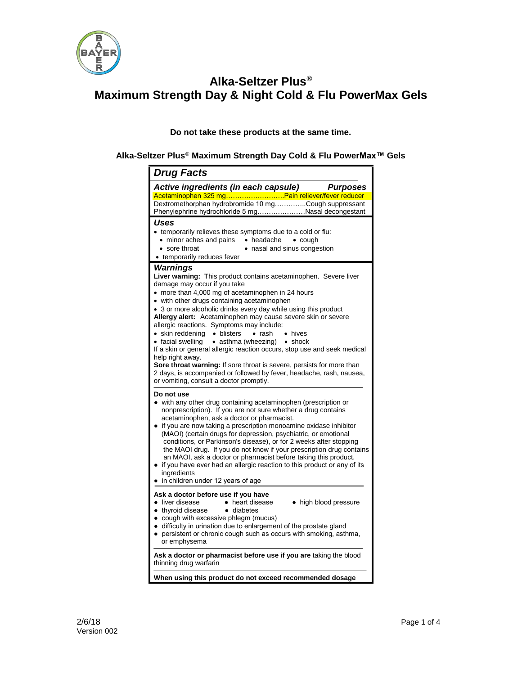

**Do not take these products at the same time.**

**Alka-Seltzer Plus® Maximum Strength Day Cold & Flu PowerMax™ Gels**

| <b>Drug Facts</b>                                                                                                                                                                                                                                                                                                                                                                                                                                                                                                                                                                                                                                                                                                                                                                                                |
|------------------------------------------------------------------------------------------------------------------------------------------------------------------------------------------------------------------------------------------------------------------------------------------------------------------------------------------------------------------------------------------------------------------------------------------------------------------------------------------------------------------------------------------------------------------------------------------------------------------------------------------------------------------------------------------------------------------------------------------------------------------------------------------------------------------|
| Active ingredients (in each capsule)<br><b>Purposes</b>                                                                                                                                                                                                                                                                                                                                                                                                                                                                                                                                                                                                                                                                                                                                                          |
| Acetaminophen 325 mgPain reliever/fever reducer<br>Dextromethorphan hydrobromide 10 mgCough suppressant<br>Phenylephrine hydrochloride 5 mgNasal decongestant                                                                                                                                                                                                                                                                                                                                                                                                                                                                                                                                                                                                                                                    |
| <b>Uses</b><br>• temporarily relieves these symptoms due to a cold or flu:<br>• minor aches and pains • headache • cough<br>• sore throat<br>• nasal and sinus congestion<br>temporarily reduces fever                                                                                                                                                                                                                                                                                                                                                                                                                                                                                                                                                                                                           |
| <b>Warnings</b><br>Liver warning: This product contains acetaminophen. Severe liver<br>damage may occur if you take<br>• more than 4,000 mg of acetaminophen in 24 hours<br>• with other drugs containing acetaminophen<br>• 3 or more alcoholic drinks every day while using this product<br>Allergy alert: Acetaminophen may cause severe skin or severe<br>allergic reactions. Symptoms may include:<br>• skin reddening • blisters<br>$\bullet$ rash<br>• hives<br>• facial swelling • asthma (wheezing) • shock<br>If a skin or general allergic reaction occurs, stop use and seek medical<br>help right away.<br>Sore throat warning: If sore throat is severe, persists for more than<br>2 days, is accompanied or followed by fever, headache, rash, nausea,<br>or vomiting, consult a doctor promptly. |
| Do not use<br>with any other drug containing acetaminophen (prescription or<br>nonprescription). If you are not sure whether a drug contains<br>acetaminophen, ask a doctor or pharmacist.<br>if you are now taking a prescription monoamine oxidase inhibitor<br>(MAOI) (certain drugs for depression, psychiatric, or emotional<br>conditions, or Parkinson's disease), or for 2 weeks after stopping<br>the MAOI drug. If you do not know if your prescription drug contains<br>an MAOI, ask a doctor or pharmacist before taking this product.<br>if you have ever had an allergic reaction to this product or any of its<br>ingredients<br>in children under 12 years of age                                                                                                                                |
| Ask a doctor before use if you have<br>• liver disease<br>• heart disease<br>• high blood pressure<br>• thyroid disease • diabetes<br>• cough with excessive phlegm (mucus)<br>difficulty in urination due to enlargement of the prostate gland<br>persistent or chronic cough such as occurs with smoking, asthma,<br>$\bullet$<br>or emphysema                                                                                                                                                                                                                                                                                                                                                                                                                                                                 |
| Ask a doctor or pharmacist before use if you are taking the blood<br>thinning drug warfarin                                                                                                                                                                                                                                                                                                                                                                                                                                                                                                                                                                                                                                                                                                                      |
| When using this product do not exceed recommended dosage                                                                                                                                                                                                                                                                                                                                                                                                                                                                                                                                                                                                                                                                                                                                                         |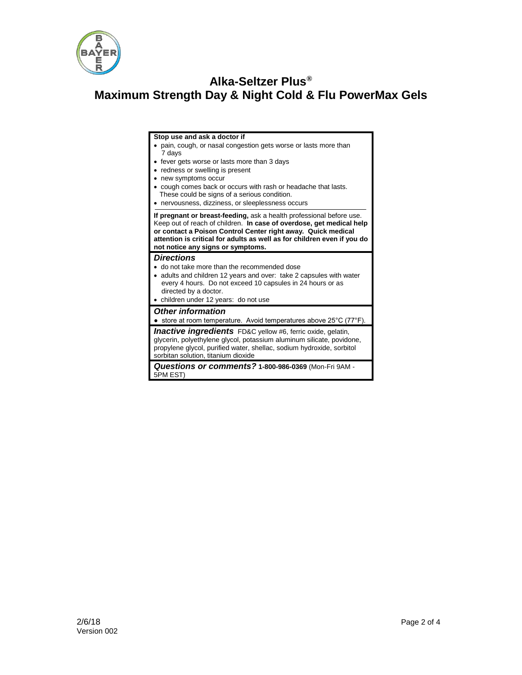

#### **Stop use and ask a doctor if**

- pain, cough, or nasal congestion gets worse or lasts more than 7 days
- fever gets worse or lasts more than 3 days
- redness or swelling is present
- new symptoms occur
- cough comes back or occurs with rash or headache that lasts. These could be signs of a serious condition.
- nervousness, dizziness, or sleeplessness occurs

**If pregnant or breast-feeding,** ask a health professional before use. Keep out of reach of children. **In case of overdose, get medical help or contact a Poison Control Center right away. Quick medical attention is critical for adults as well as for children even if you do not notice any signs or symptoms.**

### *Directions*

- do not take more than the recommended dose
- adults and children 12 years and over: take 2 capsules with water every 4 hours. Do not exceed 10 capsules in 24 hours or as
- directed by a doctor. children under 12 years: do not use

## *Other information*

● store at room temperature. Avoid temperatures above 25°C (77°F).

*Inactive ingredients* FD&C yellow #6, ferric oxide, gelatin, glycerin, polyethylene glycol, potassium aluminum silicate, povidone, propylene glycol, purified water, shellac, sodium hydroxide, sorbitol sorbitan solution, titanium dioxide

*Questions or comments?* **1-800-986-0369** (Mon-Fri 9AM - 5PM EST)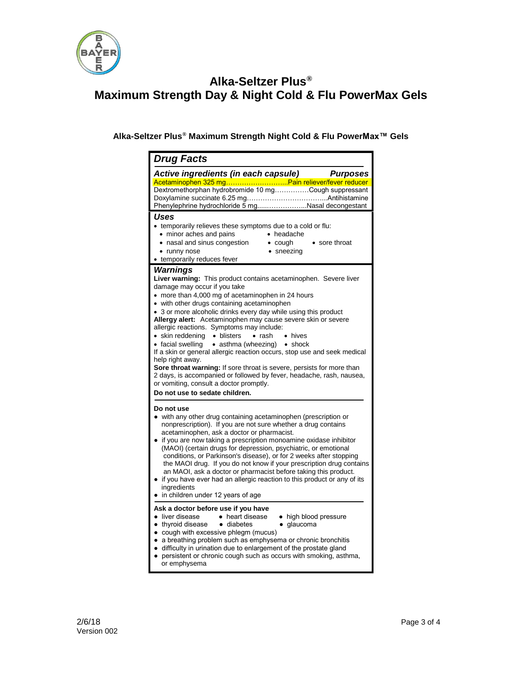

**Alka-Seltzer Plus® Maximum Strength Night Cold & Flu PowerMax™ Gels**

| <b>Drug Facts</b>                                                                                                                                                                                                                                                                                                                                                                                                                                                                                                                                                                                                                                                                                                                                                                                                                           |
|---------------------------------------------------------------------------------------------------------------------------------------------------------------------------------------------------------------------------------------------------------------------------------------------------------------------------------------------------------------------------------------------------------------------------------------------------------------------------------------------------------------------------------------------------------------------------------------------------------------------------------------------------------------------------------------------------------------------------------------------------------------------------------------------------------------------------------------------|
| Active ingredients (in each capsule) Purposes<br>Acetaminophen 325 mgPain reliever/fever reducer<br>Dextromethorphan hydrobromide 10 mgCough suppressant                                                                                                                                                                                                                                                                                                                                                                                                                                                                                                                                                                                                                                                                                    |
| Phenylephrine hydrochloride 5 mgNasal decongestant<br>Uses<br>• temporarily relieves these symptoms due to a cold or flu:<br>• minor aches and pains<br>• headache<br>• nasal and sinus congestion<br>$\bullet$ cough<br>• sore throat<br>$\bullet$ sneezing<br>• runny nose<br>• temporarily reduces fever                                                                                                                                                                                                                                                                                                                                                                                                                                                                                                                                 |
| Warnings<br>Liver warning: This product contains acetaminophen. Severe liver<br>damage may occur if you take<br>• more than 4,000 mg of acetaminophen in 24 hours<br>• with other drugs containing acetaminophen<br>• 3 or more alcoholic drinks every day while using this product<br>Allergy alert: Acetaminophen may cause severe skin or severe<br>allergic reactions. Symptoms may include:<br>• skin reddening • blisters<br>$\bullet$ rash<br>• hives<br>• facial swelling • asthma (wheezing) • shock<br>If a skin or general allergic reaction occurs, stop use and seek medical<br>help right away.<br>Sore throat warning: If sore throat is severe, persists for more than<br>2 days, is accompanied or followed by fever, headache, rash, nausea,<br>or vomiting, consult a doctor promptly.<br>Do not use to sedate children. |
| Do not use<br>with any other drug containing acetaminophen (prescription or<br>nonprescription). If you are not sure whether a drug contains<br>acetaminophen, ask a doctor or pharmacist.<br>if you are now taking a prescription monoamine oxidase inhibitor<br>(MAOI) (certain drugs for depression, psychiatric, or emotional<br>conditions, or Parkinson's disease), or for 2 weeks after stopping<br>the MAOI drug. If you do not know if your prescription drug contains<br>an MAOI, ask a doctor or pharmacist before taking this product.<br>if you have ever had an allergic reaction to this product or any of its<br>ingredients<br>in children under 12 years of age                                                                                                                                                           |
| Ask a doctor before use if you have<br>• liver disease<br>• heart disease<br>• high blood pressure<br>• thyroid disease • diabetes<br>· glaucoma<br>• cough with excessive phlegm (mucus)<br>• a breathing problem such as emphysema or chronic bronchitis<br>· difficulty in urination due to enlargement of the prostate gland<br>persistent or chronic cough such as occurs with smoking, asthma,<br>$\bullet$<br>or emphysema                                                                                                                                                                                                                                                                                                                                                                                                           |